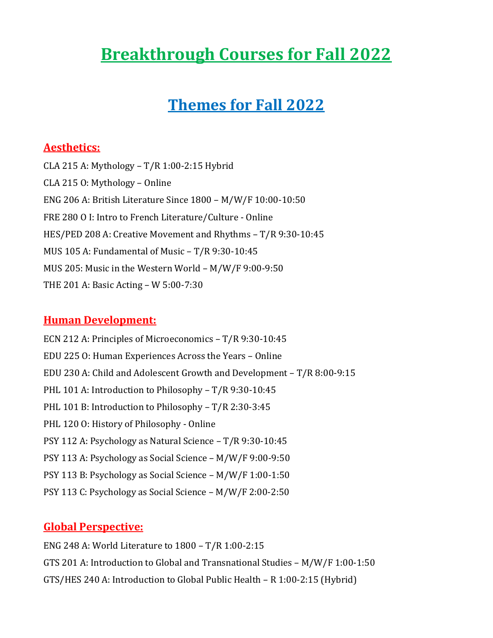# **Breakthrough Courses for Fall 2022**

# **Themes for Fall 2022**

### **Aesthetics:**

CLA 215 A: Mythology – T/R 1:00-2:15 Hybrid CLA 215 O: Mythology – Online ENG 206 A: British Literature Since 1800 – M/W/F 10:00-10:50 FRE 280 O I: Intro to French Literature/Culture - Online HES/PED 208 A: Creative Movement and Rhythms – T/R 9:30-10:45 MUS 105 A: Fundamental of Music – T/R 9:30-10:45 MUS 205: Music in the Western World – M/W/F 9:00-9:50 THE 201 A: Basic Acting – W 5:00-7:30

#### **Human Development:**

ECN 212 A: Principles of Microeconomics – T/R 9:30-10:45 EDU 225 O: Human Experiences Across the Years – Online EDU 230 A: Child and Adolescent Growth and Development – T/R 8:00-9:15 PHL 101 A: Introduction to Philosophy - T/R 9:30-10:45 PHL 101 B: Introduction to Philosophy – T/R 2:30-3:45 PHL 120 O: History of Philosophy - Online PSY 112 A: Psychology as Natural Science – T/R 9:30-10:45 PSY 113 A: Psychology as Social Science – M/W/F 9:00-9:50 PSY 113 B: Psychology as Social Science – M/W/F 1:00-1:50 PSY 113 C: Psychology as Social Science – M/W/F 2:00-2:50

#### **Global Perspective:**

ENG 248 A: World Literature to 1800 – T/R 1:00-2:15 GTS 201 A: Introduction to Global and Transnational Studies – M/W/F 1:00-1:50 GTS/HES 240 A: Introduction to Global Public Health – R 1:00-2:15 (Hybrid)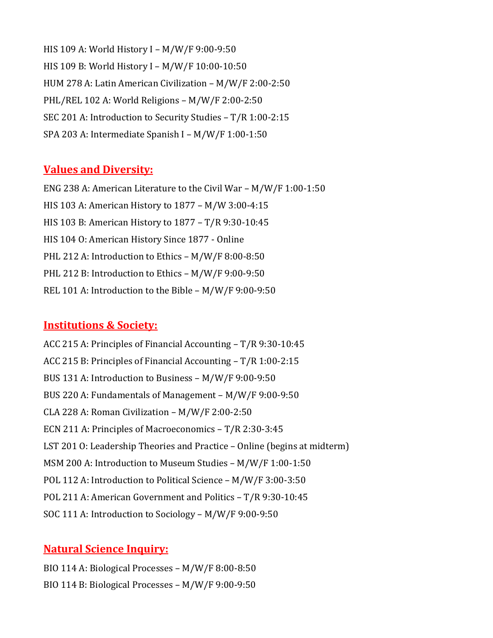HIS 109 A: World History I – M/W/F 9:00-9:50 HIS 109 B: World History I – M/W/F 10:00-10:50 HUM 278 A: Latin American Civilization – M/W/F 2:00-2:50 PHL/REL 102 A: World Religions – M/W/F 2:00-2:50 SEC 201 A: Introduction to Security Studies – T/R 1:00-2:15 SPA 203 A: Intermediate Spanish I – M/W/F 1:00-1:50

#### **Values and Diversity:**

ENG 238 A: American Literature to the Civil War – M/W/F 1:00-1:50 HIS 103 A: American History to 1877 – M/W 3:00-4:15 HIS 103 B: American History to 1877 – T/R 9:30-10:45 HIS 104 O: American History Since 1877 - Online PHL 212 A: Introduction to Ethics – M/W/F 8:00-8:50 PHL 212 B: Introduction to Ethics – M/W/F 9:00-9:50 REL 101 A: Introduction to the Bible – M/W/F 9:00-9:50

#### **Institutions & Society:**

ACC 215 A: Principles of Financial Accounting – T/R 9:30-10:45 ACC 215 B: Principles of Financial Accounting – T/R 1:00-2:15 BUS 131 A: Introduction to Business – M/W/F 9:00-9:50 BUS 220 A: Fundamentals of Management – M/W/F 9:00-9:50 CLA 228 A: Roman Civilization – M/W/F 2:00-2:50 ECN 211 A: Principles of Macroeconomics – T/R 2:30-3:45 LST 201 O: Leadership Theories and Practice – Online (begins at midterm) MSM 200 A: Introduction to Museum Studies – M/W/F 1:00-1:50 POL 112 A: Introduction to Political Science – M/W/F 3:00-3:50 POL 211 A: American Government and Politics – T/R 9:30-10:45 SOC 111 A: Introduction to Sociology – M/W/F 9:00-9:50

#### **Natural Science Inquiry:**

BIO 114 A: Biological Processes – M/W/F 8:00-8:50 BIO 114 B: Biological Processes – M/W/F 9:00-9:50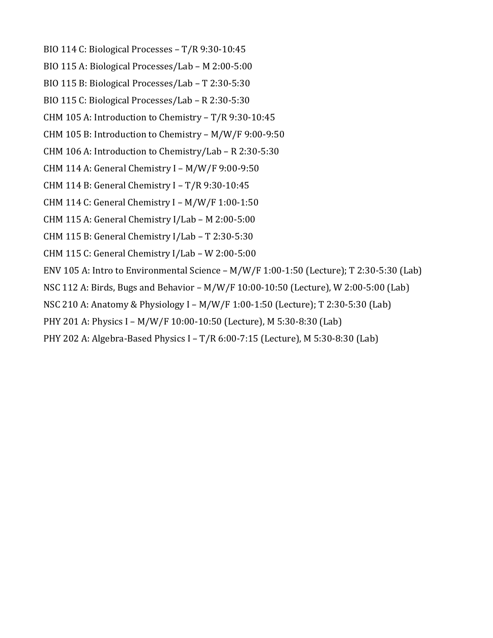- BIO 114 C: Biological Processes T/R 9:30-10:45
- BIO 115 A: Biological Processes/Lab M 2:00-5:00
- BIO 115 B: Biological Processes/Lab T 2:30-5:30
- BIO 115 C: Biological Processes/Lab R 2:30-5:30
- CHM 105 A: Introduction to Chemistry T/R 9:30-10:45
- CHM 105 B: Introduction to Chemistry M/W/F 9:00-9:50
- CHM 106 A: Introduction to Chemistry/Lab R 2:30-5:30
- CHM 114 A: General Chemistry I M/W/F 9:00-9:50
- CHM 114 B: General Chemistry I T/R 9:30-10:45
- CHM 114 C: General Chemistry I M/W/F 1:00-1:50
- CHM 115 A: General Chemistry I/Lab M 2:00-5:00
- CHM 115 B: General Chemistry I/Lab T 2:30-5:30
- CHM 115 C: General Chemistry I/Lab W 2:00-5:00
- ENV 105 A: Intro to Environmental Science M/W/F 1:00-1:50 (Lecture); T 2:30-5:30 (Lab)
- NSC 112 A: Birds, Bugs and Behavior M/W/F 10:00-10:50 (Lecture), W 2:00-5:00 (Lab)
- NSC 210 A: Anatomy & Physiology I M/W/F 1:00-1:50 (Lecture); T 2:30-5:30 (Lab)
- PHY 201 A: Physics I M/W/F 10:00-10:50 (Lecture), M 5:30-8:30 (Lab)
- PHY 202 A: Algebra-Based Physics I T/R 6:00-7:15 (Lecture), M 5:30-8:30 (Lab)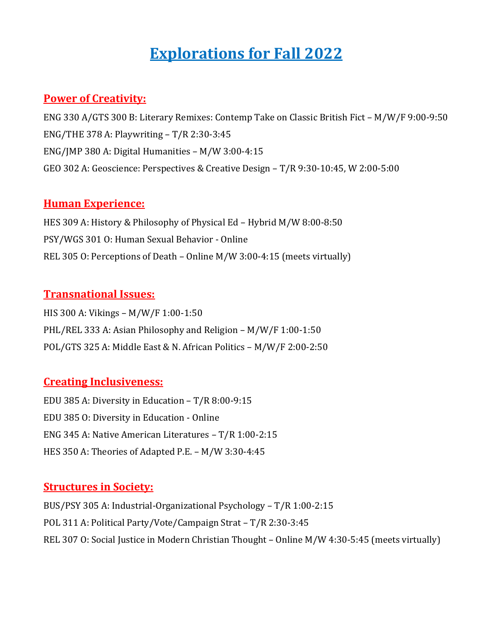# **Explorations for Fall 2022**

### **Power of Creativity:**

ENG 330 A/GTS 300 B: Literary Remixes: Contemp Take on Classic British Fict – M/W/F 9:00-9:50 ENG/THE 378 A: Playwriting – T/R 2:30-3:45 ENG/JMP 380 A: Digital Humanities – M/W 3:00-4:15 GEO 302 A: Geoscience: Perspectives & Creative Design – T/R 9:30-10:45, W 2:00-5:00

#### **Human Experience:**

HES 309 A: History & Philosophy of Physical Ed – Hybrid M/W 8:00-8:50 PSY/WGS 301 O: Human Sexual Behavior - Online REL 305 O: Perceptions of Death – Online M/W 3:00-4:15 (meets virtually)

#### **Transnational Issues:**

HIS 300 A: Vikings – M/W/F 1:00-1:50 PHL/REL 333 A: Asian Philosophy and Religion – M/W/F 1:00-1:50 POL/GTS 325 A: Middle East & N. African Politics – M/W/F 2:00-2:50

#### **Creating Inclusiveness:**

EDU 385 A: Diversity in Education – T/R 8:00-9:15 EDU 385 O: Diversity in Education - Online ENG 345 A: Native American Literatures – T/R 1:00-2:15 HES 350 A: Theories of Adapted P.E. – M/W 3:30-4:45

#### **Structures in Society:**

BUS/PSY 305 A: Industrial-Organizational Psychology – T/R 1:00-2:15 POL 311 A: Political Party/Vote/Campaign Strat – T/R 2:30-3:45 REL 307 O: Social Justice in Modern Christian Thought – Online M/W 4:30-5:45 (meets virtually)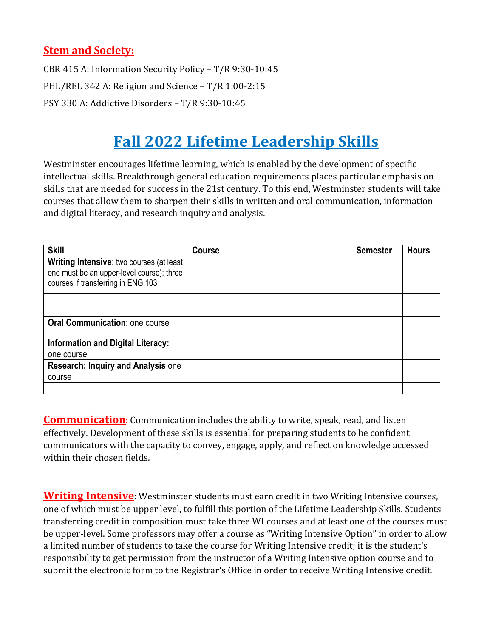### **Stem and Society:**

CBR 415 A: Information Security Policy – T/R 9:30-10:45 PHL/REL 342 A: Religion and Science – T/R 1:00-2:15 PSY 330 A: Addictive Disorders – T/R 9:30-10:45

# **Fall 2022 Lifetime Leadership Skills**

Westminster encourages lifetime learning, which is enabled by the development of specific intellectual skills. Breakthrough general education requirements places particular emphasis on skills that are needed for success in the 21st century. To this end, Westminster students will take courses that allow them to sharpen their skills in written and oral communication, information and digital literacy, and research inquiry and analysis.

| <b>Skill</b>                                                                                                                | Course | <b>Semester</b> | <b>Hours</b> |
|-----------------------------------------------------------------------------------------------------------------------------|--------|-----------------|--------------|
| Writing Intensive: two courses (at least<br>one must be an upper-level course); three<br>courses if transferring in ENG 103 |        |                 |              |
|                                                                                                                             |        |                 |              |
|                                                                                                                             |        |                 |              |
| Oral Communication: one course                                                                                              |        |                 |              |
| <b>Information and Digital Literacy:</b>                                                                                    |        |                 |              |
| one course                                                                                                                  |        |                 |              |
| <b>Research: Inquiry and Analysis one</b><br>course                                                                         |        |                 |              |
|                                                                                                                             |        |                 |              |

**Communication**: Communication includes the ability to write, speak, read, and listen effectively. Development of these skills is essential for preparing students to be confident communicators with the capacity to convey, engage, apply, and reflect on knowledge accessed within their chosen fields.

**Writing Intensive**: Westminster students must earn credit in two Writing Intensive courses, one of which must be upper level, to fulfill this portion of the Lifetime Leadership Skills. Students transferring credit in composition must take three WI courses and at least one of the courses must be upper-level. Some professors may offer a course as "Writing Intensive Option" in order to allow a limited number of students to take the course for Writing Intensive credit; it is the student's responsibility to get permission from the instructor of a Writing Intensive option course and to submit the electronic form to the Registrar's Office in order to receive Writing Intensive credit.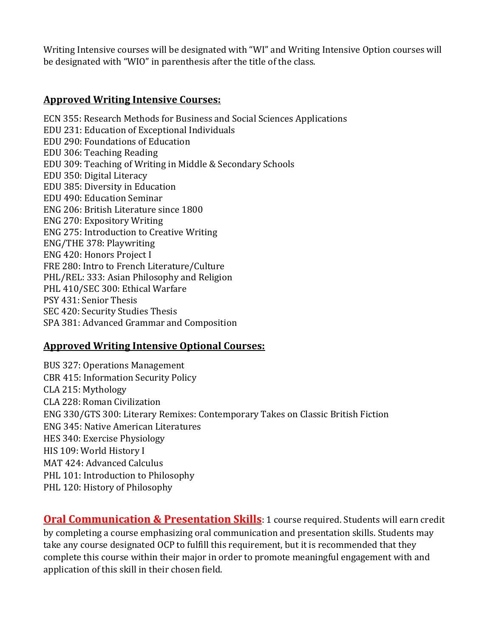Writing Intensive courses will be designated with "WI" and Writing Intensive Option courses will be designated with "WIO" in parenthesis after the title of the class.

#### **Approved Writing Intensive Courses:**

ECN 355: Research Methods for Business and Social Sciences Applications EDU 231: Education of Exceptional Individuals EDU 290: Foundations of Education EDU 306: Teaching Reading EDU 309: Teaching of Writing in Middle & Secondary Schools EDU 350: Digital Literacy EDU 385: Diversity in Education EDU 490: Education Seminar ENG 206: British Literature since 1800 ENG 270: Expository Writing ENG 275: Introduction to Creative Writing ENG/THE 378: Playwriting ENG 420: Honors Project I FRE 280: Intro to French Literature/Culture PHL/REL: 333: Asian Philosophy and Religion PHL 410/SEC 300: Ethical Warfare PSY 431: Senior Thesis SEC 420: Security Studies Thesis SPA 381: Advanced Grammar and Composition

#### **Approved Writing Intensive Optional Courses:**

BUS 327: Operations Management CBR 415: Information Security Policy CLA 215: Mythology CLA 228: Roman Civilization ENG 330/GTS 300: Literary Remixes: Contemporary Takes on Classic British Fiction ENG 345: Native American Literatures HES 340: Exercise Physiology HIS 109: World History I MAT 424: Advanced Calculus PHL 101: Introduction to Philosophy PHL 120: History of Philosophy

**Oral Communication & Presentation Skills**: 1 course required. Students will earn credit by completing a course emphasizing oral communication and presentation skills. Students may take any course designated OCP to fulfill this requirement, but it is recommended that they complete this course within their major in order to promote meaningful engagement with and application of this skill in their chosen field.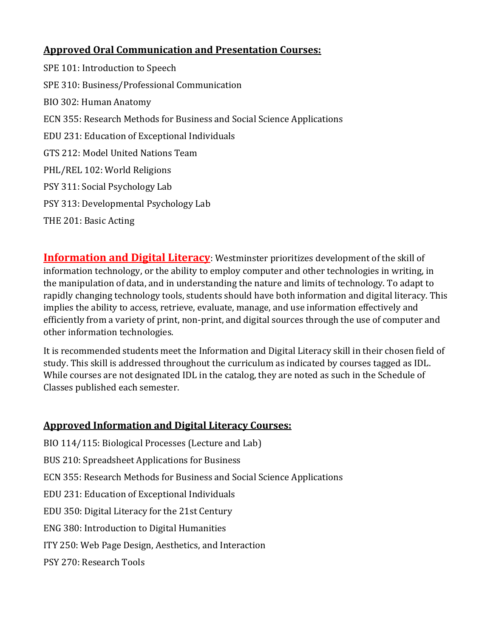# **Approved Oral Communication and Presentation Courses:**

SPE 101: Introduction to Speech SPE 310: Business/Professional Communication BIO 302: Human Anatomy ECN 355: Research Methods for Business and Social Science Applications EDU 231: Education of Exceptional Individuals GTS 212: Model United Nations Team PHL/REL 102: World Religions PSY 311: Social Psychology Lab PSY 313: Developmental Psychology Lab THE 201: Basic Acting

**Information and Digital Literacy**: Westminster prioritizes development of the skill of information technology, or the ability to employ computer and other technologies in writing, in the manipulation of data, and in understanding the nature and limits of technology. To adapt to rapidly changing technology tools, students should have both information and digital literacy. This implies the ability to access, retrieve, evaluate, manage, and use information effectively and efficiently from a variety of print, non-print, and digital sources through the use of computer and other information technologies.

It is recommended students meet the Information and Digital Literacy skill in their chosen field of study. This skill is addressed throughout the curriculum as indicated by courses tagged as IDL. While courses are not designated IDL in the catalog, they are noted as such in the Schedule of Classes published each semester.

## **Approved Information and Digital Literacy Courses:**

- BIO 114/115: Biological Processes (Lecture and Lab)
- BUS 210: Spreadsheet Applications for Business
- ECN 355: Research Methods for Business and Social Science Applications
- EDU 231: Education of Exceptional Individuals
- EDU 350: Digital Literacy for the 21st Century
- ENG 380: Introduction to Digital Humanities
- ITY 250: Web Page Design, Aesthetics, and Interaction
- PSY 270: Research Tools